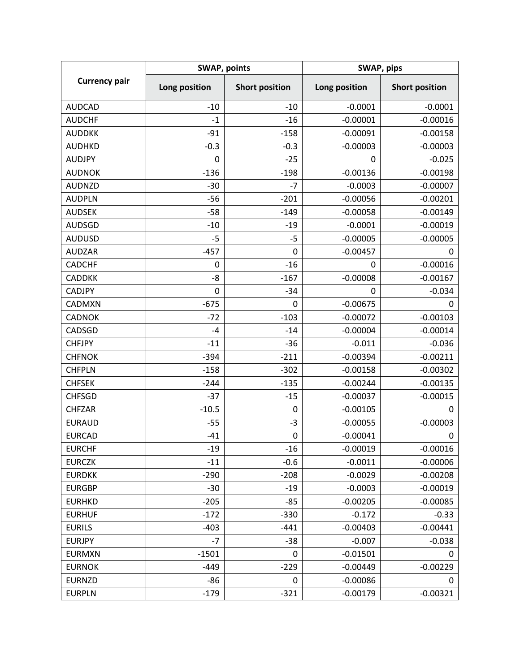| <b>Currency pair</b> | <b>SWAP, points</b> |                       | SWAP, pips    |                       |
|----------------------|---------------------|-----------------------|---------------|-----------------------|
|                      | Long position       | <b>Short position</b> | Long position | <b>Short position</b> |
| <b>AUDCAD</b>        | $-10$               | $-10$                 | $-0.0001$     | $-0.0001$             |
| <b>AUDCHF</b>        | $-1$                | $-16$                 | $-0.00001$    | $-0.00016$            |
| <b>AUDDKK</b>        | $-91$               | $-158$                | $-0.00091$    | $-0.00158$            |
| <b>AUDHKD</b>        | $-0.3$              | $-0.3$                | $-0.00003$    | $-0.00003$            |
| <b>AUDJPY</b>        | 0                   | $-25$                 | 0             | $-0.025$              |
| <b>AUDNOK</b>        | $-136$              | $-198$                | $-0.00136$    | $-0.00198$            |
| <b>AUDNZD</b>        | $-30$               | $-7$                  | $-0.0003$     | $-0.00007$            |
| <b>AUDPLN</b>        | $-56$               | $-201$                | $-0.00056$    | $-0.00201$            |
| <b>AUDSEK</b>        | $-58$               | $-149$                | $-0.00058$    | $-0.00149$            |
| <b>AUDSGD</b>        | $-10$               | $-19$                 | $-0.0001$     | $-0.00019$            |
| <b>AUDUSD</b>        | $-5$                | $-5$                  | $-0.00005$    | $-0.00005$            |
| <b>AUDZAR</b>        | $-457$              | 0                     | $-0.00457$    | 0                     |
| <b>CADCHF</b>        | $\pmb{0}$           | $-16$                 | 0             | $-0.00016$            |
| <b>CADDKK</b>        | $-8$                | $-167$                | $-0.00008$    | $-0.00167$            |
| <b>CADJPY</b>        | 0                   | $-34$                 | 0             | $-0.034$              |
| CADMXN               | $-675$              | 0                     | $-0.00675$    | 0                     |
| <b>CADNOK</b>        | $-72$               | $-103$                | $-0.00072$    | $-0.00103$            |
| CADSGD               | $-4$                | $-14$                 | $-0.00004$    | $-0.00014$            |
| <b>CHFJPY</b>        | $-11$               | $-36$                 | $-0.011$      | $-0.036$              |
| <b>CHFNOK</b>        | $-394$              | $-211$                | $-0.00394$    | $-0.00211$            |
| <b>CHFPLN</b>        | $-158$              | $-302$                | $-0.00158$    | $-0.00302$            |
| <b>CHFSEK</b>        | $-244$              | $-135$                | $-0.00244$    | $-0.00135$            |
| <b>CHFSGD</b>        | $-37$               | $-15$                 | $-0.00037$    | $-0.00015$            |
| <b>CHFZAR</b>        | $-10.5$             | 0                     | $-0.00105$    | 0                     |
| <b>EURAUD</b>        | $-55$               | $-3$                  | $-0.00055$    | $-0.00003$            |
| <b>EURCAD</b>        | $-41$               | 0                     | $-0.00041$    | 0                     |
| <b>EURCHF</b>        | $-19$               | $-16$                 | $-0.00019$    | $-0.00016$            |
| <b>EURCZK</b>        | $-11$               | $-0.6$                | $-0.0011$     | $-0.00006$            |
| <b>EURDKK</b>        | $-290$              | $-208$                | $-0.0029$     | $-0.00208$            |
| <b>EURGBP</b>        | $-30$               | $-19$                 | $-0.0003$     | $-0.00019$            |
| <b>EURHKD</b>        | $-205$              | $-85$                 | $-0.00205$    | $-0.00085$            |
| <b>EURHUF</b>        | $-172$              | $-330$                | $-0.172$      | $-0.33$               |
| <b>EURILS</b>        | $-403$              | $-441$                | $-0.00403$    | $-0.00441$            |
| <b>EURJPY</b>        | $-7$                | $-38$                 | $-0.007$      | $-0.038$              |
| <b>EURMXN</b>        | $-1501$             | 0                     | $-0.01501$    | 0                     |
| <b>EURNOK</b>        | $-449$              | $-229$                | $-0.00449$    | $-0.00229$            |
| <b>EURNZD</b>        | -86                 | 0                     | $-0.00086$    | 0                     |
| <b>EURPLN</b>        | $-179$              | $-321$                | $-0.00179$    | $-0.00321$            |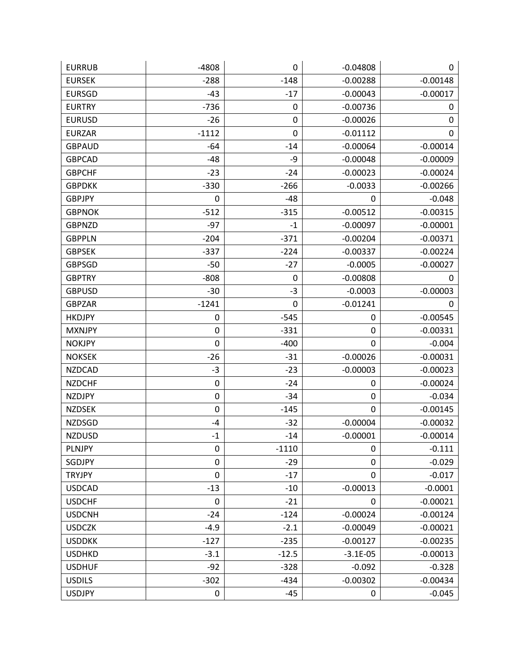| <b>EURRUB</b> | $-4808$          | 0       | $-0.04808$  | 0          |
|---------------|------------------|---------|-------------|------------|
| <b>EURSEK</b> | $-288$           | $-148$  | $-0.00288$  | $-0.00148$ |
| <b>EURSGD</b> | $-43$            | $-17$   | $-0.00043$  | $-0.00017$ |
| <b>EURTRY</b> | $-736$           | 0       | $-0.00736$  | 0          |
| <b>EURUSD</b> | $-26$            | 0       | $-0.00026$  | 0          |
| <b>EURZAR</b> | $-1112$          | 0       | $-0.01112$  | 0          |
| <b>GBPAUD</b> | -64              | $-14$   | $-0.00064$  | $-0.00014$ |
| <b>GBPCAD</b> | $-48$            | -9      | $-0.00048$  | $-0.00009$ |
| <b>GBPCHF</b> | $-23$            | $-24$   | $-0.00023$  | $-0.00024$ |
| <b>GBPDKK</b> | $-330$           | $-266$  | $-0.0033$   | $-0.00266$ |
| <b>GBPJPY</b> | 0                | $-48$   | 0           | $-0.048$   |
| <b>GBPNOK</b> | $-512$           | $-315$  | $-0.00512$  | $-0.00315$ |
| <b>GBPNZD</b> | $-97$            | $-1$    | $-0.00097$  | $-0.00001$ |
| <b>GBPPLN</b> | $-204$           | $-371$  | $-0.00204$  | $-0.00371$ |
| <b>GBPSEK</b> | $-337$           | $-224$  | $-0.00337$  | $-0.00224$ |
| <b>GBPSGD</b> | $-50$            | $-27$   | $-0.0005$   | $-0.00027$ |
| <b>GBPTRY</b> | $-808$           | 0       | $-0.00808$  | 0          |
| <b>GBPUSD</b> | $-30$            | $-3$    | $-0.0003$   | $-0.00003$ |
| <b>GBPZAR</b> | $-1241$          | 0       | $-0.01241$  | 0          |
| <b>HKDJPY</b> | 0                | $-545$  | $\pmb{0}$   | $-0.00545$ |
| <b>MXNJPY</b> | $\boldsymbol{0}$ | $-331$  | 0           | $-0.00331$ |
| <b>NOKJPY</b> | $\mathbf 0$      | $-400$  | 0           | $-0.004$   |
| <b>NOKSEK</b> | $-26$            | $-31$   | $-0.00026$  | $-0.00031$ |
| <b>NZDCAD</b> | $-3$             | $-23$   | $-0.00003$  | $-0.00023$ |
| <b>NZDCHF</b> | $\mathbf 0$      | $-24$   | 0           | $-0.00024$ |
| <b>NZDJPY</b> | $\mathbf 0$      | $-34$   | $\mathbf 0$ | $-0.034$   |
| <b>NZDSEK</b> | $\mathbf 0$      | $-145$  | 0           | $-0.00145$ |
| <b>NZDSGD</b> | $-4$             | $-32$   | $-0.00004$  | $-0.00032$ |
| <b>NZDUSD</b> | $^{\rm -1}$      | $-14$   | $-0.00001$  | $-0.00014$ |
| <b>PLNJPY</b> | 0                | $-1110$ | 0           | $-0.111$   |
| SGDJPY        | 0                | $-29$   | 0           | $-0.029$   |
| <b>TRYJPY</b> | $\pmb{0}$        | $-17$   | $\pmb{0}$   | $-0.017$   |
| <b>USDCAD</b> | $-13$            | $-10$   | $-0.00013$  | $-0.0001$  |
| <b>USDCHF</b> | $\mathbf 0$      | $-21$   | 0           | $-0.00021$ |
| <b>USDCNH</b> | $-24$            | $-124$  | $-0.00024$  | $-0.00124$ |
| <b>USDCZK</b> | $-4.9$           | $-2.1$  | $-0.00049$  | $-0.00021$ |
| <b>USDDKK</b> | $-127$           | $-235$  | $-0.00127$  | $-0.00235$ |
| <b>USDHKD</b> | $-3.1$           | $-12.5$ | $-3.1E-05$  | $-0.00013$ |
| <b>USDHUF</b> | $-92$            | $-328$  | $-0.092$    | $-0.328$   |
| <b>USDILS</b> | $-302$           | $-434$  | $-0.00302$  | $-0.00434$ |
| <b>USDJPY</b> | $\pmb{0}$        | $-45$   | 0           | $-0.045$   |